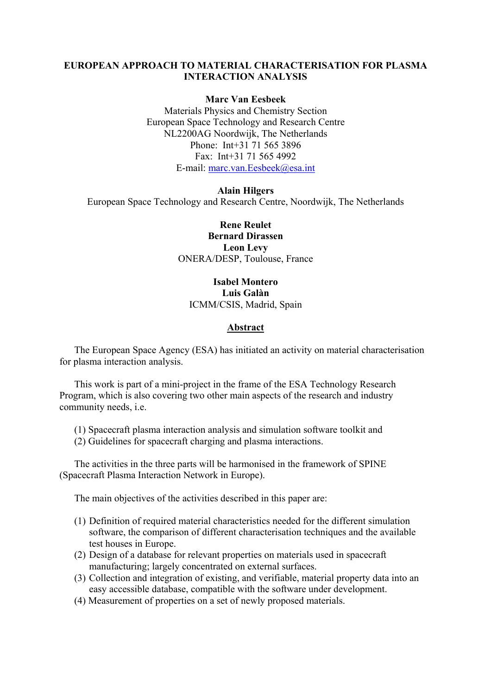### **EUROPEAN APPROACH TO MATERIAL CHARACTERISATION FOR PLASMA INTERACTION ANALYSIS**

#### **Marc Van Eesbeek**

Materials Physics and Chemistry Section European Space Technology and Research Centre NL2200AG Noordwijk, The Netherlands Phone: Int+31 71 565 3896 Fax: Int+31 71 565 4992 E-mail: [marc.van.Eesbeek@esa.int](mailto:marc.van.Eesbeek@esa.int)

#### **Alain Hilgers**

European Space Technology and Research Centre, Noordwijk, The Netherlands

**Rene Reulet Bernard Dirassen Leon Levy**  ONERA/DESP, Toulouse, France

# **Isabel Montero Luis Galàn**  ICMM/CSIS, Madrid, Spain

#### **Abstract**

The European Space Agency (ESA) has initiated an activity on material characterisation for plasma interaction analysis.

This work is part of a mini-project in the frame of the ESA Technology Research Program, which is also covering two other main aspects of the research and industry community needs, i.e.

- (1) Spacecraft plasma interaction analysis and simulation software toolkit and
- (2) Guidelines for spacecraft charging and plasma interactions.

The activities in the three parts will be harmonised in the framework of SPINE (Spacecraft Plasma Interaction Network in Europe).

The main objectives of the activities described in this paper are:

- (1) Definition of required material characteristics needed for the different simulation software, the comparison of different characterisation techniques and the available test houses in Europe.
- (2) Design of a database for relevant properties on materials used in spacecraft manufacturing; largely concentrated on external surfaces.
- (3) Collection and integration of existing, and verifiable, material property data into an easy accessible database, compatible with the software under development.
- (4) Measurement of properties on a set of newly proposed materials.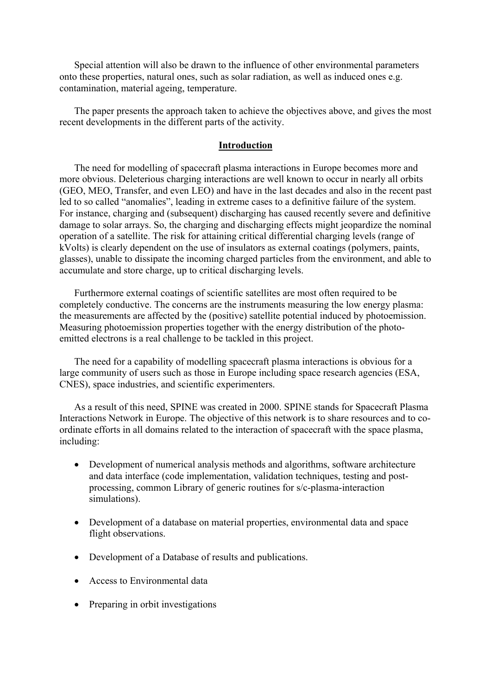Special attention will also be drawn to the influence of other environmental parameters onto these properties, natural ones, such as solar radiation, as well as induced ones e.g. contamination, material ageing, temperature.

The paper presents the approach taken to achieve the objectives above, and gives the most recent developments in the different parts of the activity.

#### **Introduction**

The need for modelling of spacecraft plasma interactions in Europe becomes more and more obvious. Deleterious charging interactions are well known to occur in nearly all orbits (GEO, MEO, Transfer, and even LEO) and have in the last decades and also in the recent past led to so called "anomalies", leading in extreme cases to a definitive failure of the system. For instance, charging and (subsequent) discharging has caused recently severe and definitive damage to solar arrays. So, the charging and discharging effects might jeopardize the nominal operation of a satellite. The risk for attaining critical differential charging levels (range of kVolts) is clearly dependent on the use of insulators as external coatings (polymers, paints, glasses), unable to dissipate the incoming charged particles from the environment, and able to accumulate and store charge, up to critical discharging levels.

Furthermore external coatings of scientific satellites are most often required to be completely conductive. The concerns are the instruments measuring the low energy plasma: the measurements are affected by the (positive) satellite potential induced by photoemission. Measuring photoemission properties together with the energy distribution of the photoemitted electrons is a real challenge to be tackled in this project.

The need for a capability of modelling spacecraft plasma interactions is obvious for a large community of users such as those in Europe including space research agencies (ESA, CNES), space industries, and scientific experimenters.

As a result of this need, SPINE was created in 2000. SPINE stands for Spacecraft Plasma Interactions Network in Europe. The objective of this network is to share resources and to coordinate efforts in all domains related to the interaction of spacecraft with the space plasma, including:

- Development of numerical analysis methods and algorithms, software architecture and data interface (code implementation, validation techniques, testing and postprocessing, common Library of generic routines for s/c-plasma-interaction simulations).
- Development of a database on material properties, environmental data and space flight observations.
- Development of a Database of results and publications.
- Access to Environmental data
- Preparing in orbit investigations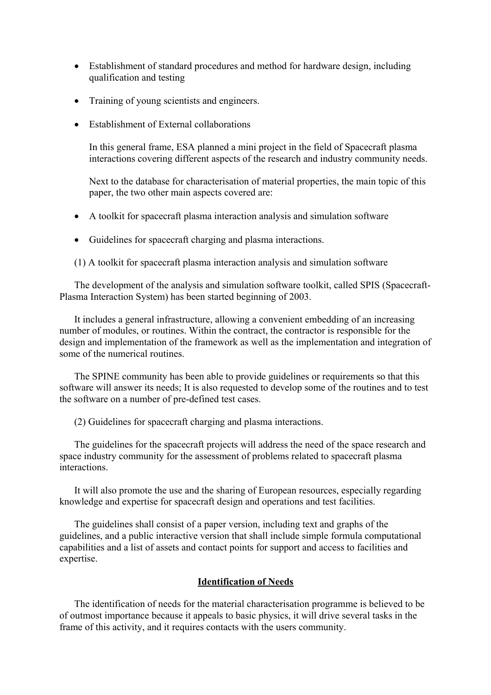- Establishment of standard procedures and method for hardware design, including qualification and testing
- Training of young scientists and engineers.
- Establishment of External collaborations

In this general frame, ESA planned a mini project in the field of Spacecraft plasma interactions covering different aspects of the research and industry community needs.

Next to the database for characterisation of material properties, the main topic of this paper, the two other main aspects covered are:

- A toolkit for spacecraft plasma interaction analysis and simulation software
- Guidelines for spacecraft charging and plasma interactions.

(1) A toolkit for spacecraft plasma interaction analysis and simulation software

The development of the analysis and simulation software toolkit, called SPIS (Spacecraft-Plasma Interaction System) has been started beginning of 2003.

It includes a general infrastructure, allowing a convenient embedding of an increasing number of modules, or routines. Within the contract, the contractor is responsible for the design and implementation of the framework as well as the implementation and integration of some of the numerical routines.

The SPINE community has been able to provide guidelines or requirements so that this software will answer its needs; It is also requested to develop some of the routines and to test the software on a number of pre-defined test cases.

(2) Guidelines for spacecraft charging and plasma interactions.

The guidelines for the spacecraft projects will address the need of the space research and space industry community for the assessment of problems related to spacecraft plasma interactions.

It will also promote the use and the sharing of European resources, especially regarding knowledge and expertise for spacecraft design and operations and test facilities.

The guidelines shall consist of a paper version, including text and graphs of the guidelines, and a public interactive version that shall include simple formula computational capabilities and a list of assets and contact points for support and access to facilities and expertise.

#### **Identification of Needs**

The identification of needs for the material characterisation programme is believed to be of outmost importance because it appeals to basic physics, it will drive several tasks in the frame of this activity, and it requires contacts with the users community.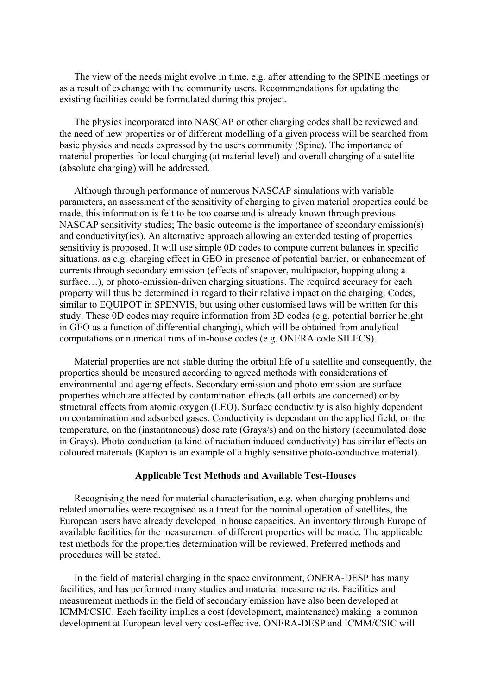The view of the needs might evolve in time, e.g. after attending to the SPINE meetings or as a result of exchange with the community users. Recommendations for updating the existing facilities could be formulated during this project.

The physics incorporated into NASCAP or other charging codes shall be reviewed and the need of new properties or of different modelling of a given process will be searched from basic physics and needs expressed by the users community (Spine). The importance of material properties for local charging (at material level) and overall charging of a satellite (absolute charging) will be addressed.

Although through performance of numerous NASCAP simulations with variable parameters, an assessment of the sensitivity of charging to given material properties could be made, this information is felt to be too coarse and is already known through previous NASCAP sensitivity studies; The basic outcome is the importance of secondary emission(s) and conductivity(ies). An alternative approach allowing an extended testing of properties sensitivity is proposed. It will use simple 0D codes to compute current balances in specific situations, as e.g. charging effect in GEO in presence of potential barrier, or enhancement of currents through secondary emission (effects of snapover, multipactor, hopping along a surface...), or photo-emission-driven charging situations. The required accuracy for each property will thus be determined in regard to their relative impact on the charging. Codes, similar to EQUIPOT in SPENVIS, but using other customised laws will be written for this study. These 0D codes may require information from 3D codes (e.g. potential barrier height in GEO as a function of differential charging), which will be obtained from analytical computations or numerical runs of in-house codes (e.g. ONERA code SILECS).

Material properties are not stable during the orbital life of a satellite and consequently, the properties should be measured according to agreed methods with considerations of environmental and ageing effects. Secondary emission and photo-emission are surface properties which are affected by contamination effects (all orbits are concerned) or by structural effects from atomic oxygen (LEO). Surface conductivity is also highly dependent on contamination and adsorbed gases. Conductivity is dependant on the applied field, on the temperature, on the (instantaneous) dose rate (Grays/s) and on the history (accumulated dose in Grays). Photo-conduction (a kind of radiation induced conductivity) has similar effects on coloured materials (Kapton is an example of a highly sensitive photo-conductive material).

### **Applicable Test Methods and Available Test-Houses**

Recognising the need for material characterisation, e.g. when charging problems and related anomalies were recognised as a threat for the nominal operation of satellites, the European users have already developed in house capacities. An inventory through Europe of available facilities for the measurement of different properties will be made. The applicable test methods for the properties determination will be reviewed. Preferred methods and procedures will be stated.

In the field of material charging in the space environment, ONERA-DESP has many facilities, and has performed many studies and material measurements. Facilities and measurement methods in the field of secondary emission have also been developed at ICMM/CSIC. Each facility implies a cost (development, maintenance) making a common development at European level very cost-effective. ONERA-DESP and ICMM/CSIC will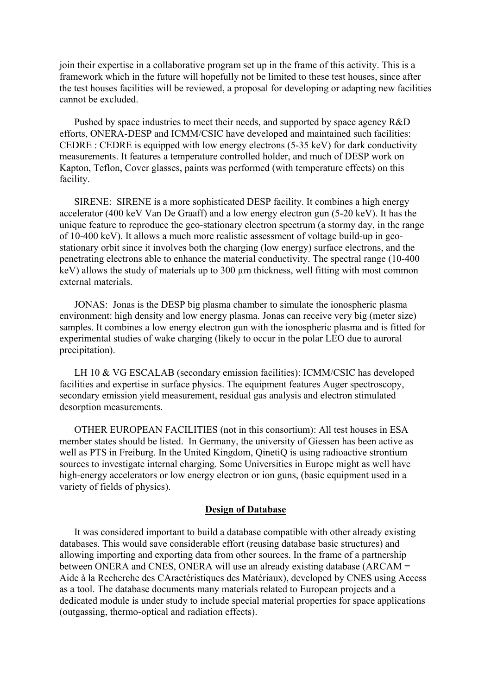join their expertise in a collaborative program set up in the frame of this activity. This is a framework which in the future will hopefully not be limited to these test houses, since after the test houses facilities will be reviewed, a proposal for developing or adapting new facilities cannot be excluded.

Pushed by space industries to meet their needs, and supported by space agency R&D efforts, ONERA-DESP and ICMM/CSIC have developed and maintained such facilities: CEDRE : CEDRE is equipped with low energy electrons (5-35 keV) for dark conductivity measurements. It features a temperature controlled holder, and much of DESP work on Kapton, Teflon, Cover glasses, paints was performed (with temperature effects) on this facility.

SIRENE: SIRENE is a more sophisticated DESP facility. It combines a high energy accelerator (400 keV Van De Graaff) and a low energy electron gun (5-20 keV). It has the unique feature to reproduce the geo-stationary electron spectrum (a stormy day, in the range of 10-400 keV). It allows a much more realistic assessment of voltage build-up in geostationary orbit since it involves both the charging (low energy) surface electrons, and the penetrating electrons able to enhance the material conductivity. The spectral range (10-400 keV) allows the study of materials up to 300 µm thickness, well fitting with most common external materials.

JONAS: Jonas is the DESP big plasma chamber to simulate the ionospheric plasma environment: high density and low energy plasma. Jonas can receive very big (meter size) samples. It combines a low energy electron gun with the ionospheric plasma and is fitted for experimental studies of wake charging (likely to occur in the polar LEO due to auroral precipitation).

LH 10 & VG ESCALAB (secondary emission facilities): ICMM/CSIC has developed facilities and expertise in surface physics. The equipment features Auger spectroscopy, secondary emission yield measurement, residual gas analysis and electron stimulated desorption measurements.

OTHER EUROPEAN FACILITIES (not in this consortium): All test houses in ESA member states should be listed. In Germany, the university of Giessen has been active as well as PTS in Freiburg. In the United Kingdom, QinetiQ is using radioactive strontium sources to investigate internal charging. Some Universities in Europe might as well have high-energy accelerators or low energy electron or ion guns, (basic equipment used in a variety of fields of physics).

#### **Design of Database**

It was considered important to build a database compatible with other already existing databases. This would save considerable effort (reusing database basic structures) and allowing importing and exporting data from other sources. In the frame of a partnership between ONERA and CNES, ONERA will use an already existing database (ARCAM = Aide à la Recherche des CAractéristiques des Matériaux), developed by CNES using Access as a tool. The database documents many materials related to European projects and a dedicated module is under study to include special material properties for space applications (outgassing, thermo-optical and radiation effects).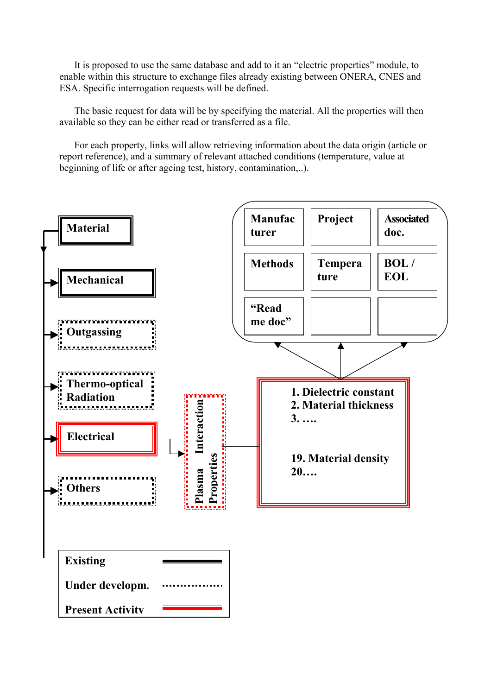It is proposed to use the same database and add to it an "electric properties" module, to enable within this structure to exchange files already existing between ONERA, CNES and ESA. Specific interrogation requests will be defined.

The basic request for data will be by specifying the material. All the properties will then available so they can be either read or transferred as a file.

For each property, links will allow retrieving information about the data origin (article or report reference), and a summary of relevant attached conditions (temperature, value at beginning of life or after ageing test, history, contamination,..).

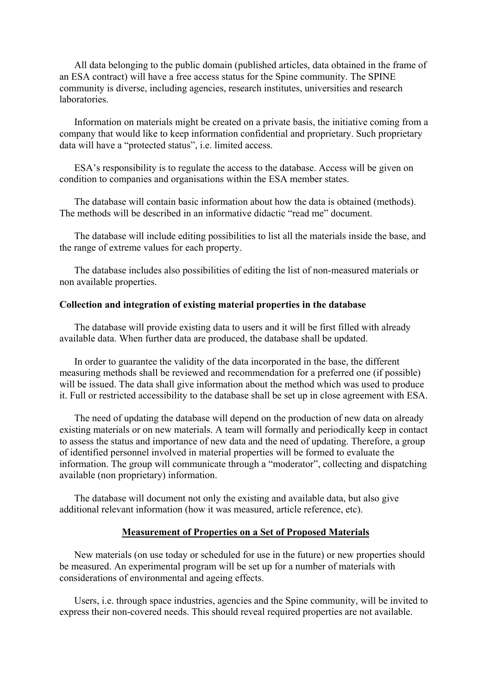All data belonging to the public domain (published articles, data obtained in the frame of an ESA contract) will have a free access status for the Spine community. The SPINE community is diverse, including agencies, research institutes, universities and research laboratories.

Information on materials might be created on a private basis, the initiative coming from a company that would like to keep information confidential and proprietary. Such proprietary data will have a "protected status", i.e. limited access.

ESA's responsibility is to regulate the access to the database. Access will be given on condition to companies and organisations within the ESA member states.

The database will contain basic information about how the data is obtained (methods). The methods will be described in an informative didactic "read me" document.

The database will include editing possibilities to list all the materials inside the base, and the range of extreme values for each property.

The database includes also possibilities of editing the list of non-measured materials or non available properties.

# **Collection and integration of existing material properties in the database**

The database will provide existing data to users and it will be first filled with already available data. When further data are produced, the database shall be updated.

In order to guarantee the validity of the data incorporated in the base, the different measuring methods shall be reviewed and recommendation for a preferred one (if possible) will be issued. The data shall give information about the method which was used to produce it. Full or restricted accessibility to the database shall be set up in close agreement with ESA.

The need of updating the database will depend on the production of new data on already existing materials or on new materials. A team will formally and periodically keep in contact to assess the status and importance of new data and the need of updating. Therefore, a group of identified personnel involved in material properties will be formed to evaluate the information. The group will communicate through a "moderator", collecting and dispatching available (non proprietary) information.

The database will document not only the existing and available data, but also give additional relevant information (how it was measured, article reference, etc).

#### **Measurement of Properties on a Set of Proposed Materials**

New materials (on use today or scheduled for use in the future) or new properties should be measured. An experimental program will be set up for a number of materials with considerations of environmental and ageing effects.

Users, i.e. through space industries, agencies and the Spine community, will be invited to express their non-covered needs. This should reveal required properties are not available.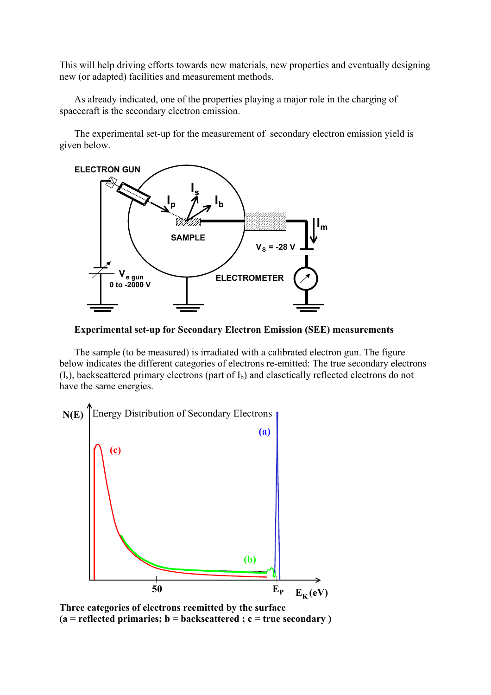This will help driving efforts towards new materials, new properties and eventually designing new (or adapted) facilities and measurement methods.

As already indicated, one of the properties playing a major role in the charging of spacecraft is the secondary electron emission.

The experimental set-up for the measurement of secondary electron emission yield is given below.



**Experimental set-up for Secondary Electron Emission (SEE) measurements** 

The sample (to be measured) is irradiated with a calibrated electron gun. The figure below indicates the different categories of electrons re-emitted: The true secondary electrons  $(I<sub>s</sub>)$ , backscattered primary electrons (part of  $I<sub>b</sub>$ ) and elasctically reflected electrons do not have the same energies.



**Three categories of electrons reemitted by the surface (a = reflected primaries; b = backscattered ; c = true secondary )**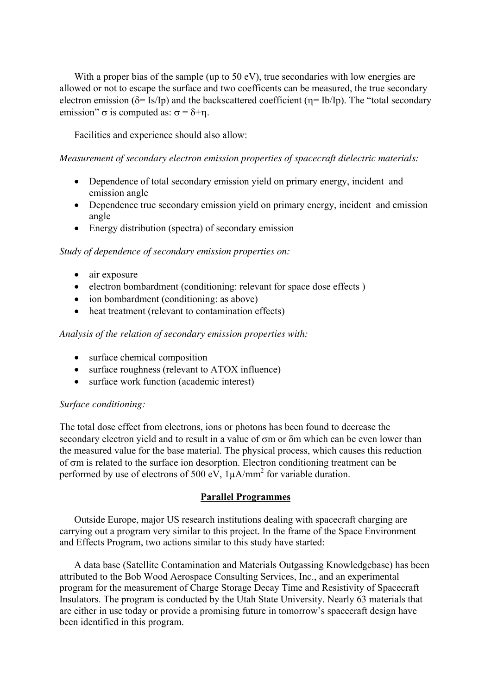With a proper bias of the sample (up to 50 eV), true secondaries with low energies are allowed or not to escape the surface and two coefficents can be measured, the true secondary electron emission ( $\delta$ = Is/Ip) and the backscattered coefficient ( $\eta$ = Ib/Ip). The "total secondary emission" σ is computed as:  $σ = δ +η$ .

Facilities and experience should also allow:

*Measurement of secondary electron emission properties of spacecraft dielectric materials:* 

- Dependence of total secondary emission yield on primary energy, incident and emission angle
- Dependence true secondary emission yield on primary energy, incident and emission angle
- Energy distribution (spectra) of secondary emission

### *Study of dependence of secondary emission properties on:*

- air exposure
- electron bombardment (conditioning: relevant for space dose effects)
- ion bombardment (conditioning: as above)
- heat treatment (relevant to contamination effects)

## *Analysis of the relation of secondary emission properties with:*

- surface chemical composition
- surface roughness (relevant to ATOX influence)
- surface work function (academic interest)

## *Surface conditioning:*

The total dose effect from electrons, ions or photons has been found to decrease the secondary electron yield and to result in a value of σm or δm which can be even lower than the measured value for the base material. The physical process, which causes this reduction of σm is related to the surface ion desorption. Electron conditioning treatment can be performed by use of electrons of 500 eV,  $1\mu A/mm^2$  for variable duration.

## **Parallel Programmes**

Outside Europe, major US research institutions dealing with spacecraft charging are carrying out a program very similar to this project. In the frame of the Space Environment and Effects Program, two actions similar to this study have started:

A data base (Satellite Contamination and Materials Outgassing Knowledgebase) has been attributed to the Bob Wood Aerospace Consulting Services, Inc., and an experimental program for the measurement of Charge Storage Decay Time and Resistivity of Spacecraft Insulators. The program is conducted by the Utah State University. Nearly 63 materials that are either in use today or provide a promising future in tomorrow's spacecraft design have been identified in this program.